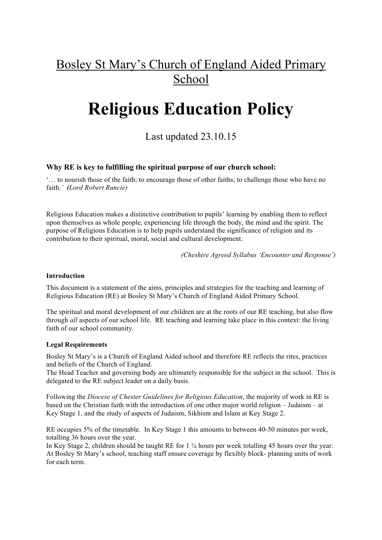## Bosley St Mary's Church of England Aided Primary **School**

# **Religious Education Policy**

### Last updated 23.10.15

#### **Why RE is key to fulfilling the spiritual purpose of our church school:**

'… to nourish those of the faith; to encourage those of other faiths; to challenge those who have no faith.*' (Lord Robert Runcie)*

Religious Education makes a distinctive contribution to pupils' learning by enabling them to reflect upon themselves as whole people, experiencing life through the body, the mind and the spirit. The purpose of Religious Education is to help pupils understand the significance of religion and its contribution to their spiritual, moral, social and cultural development.

*(Cheshire Agreed Syllabus 'Encounter and Response')*

#### **Introduction**

This document is a statement of the aims, principles and strategies for the teaching and learning of Religious Education (RE) at Bosley St Mary's Church of England Aided Primary School.

The spiritual and moral development of our children are at the roots of our RE teaching, but also flow through *all* aspects of our school life. RE teaching and learning take place in this context: the living faith of our school community.

#### **Legal Requirements**

Bosley St Mary's is a Church of England Aided school and therefore RE reflects the rites, practices and beliefs of the Church of England.

The Head Teacher and governing body are ultimately responsible for the subject in the school. This is delegated to the RE subject leader on a daily basis.

Following the *Diocese of Chester Guidelines for Religious Education*, the majority of work in RE is based on the Christian faith with the introduction of one other major world religion – Judaism – at Key Stage 1, and the study of aspects of Judaism, Sikhism and Islam at Key Stage 2.

RE occupies 5% of the timetable. In Key Stage 1 this amounts to between 40-50 minutes per week, totalling 36 hours over the year.

In Key Stage 2, children should be taught RE for 1 ¼ hours per week totalling 45 hours over the year. At Bosley St Mary's school, teaching staff ensure coverage by flexibly block- planning units of work for each term.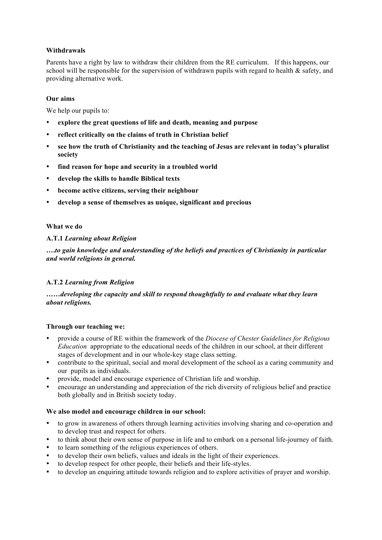#### **Withdrawals**

Parents have a right by law to withdraw their children from the RE curriculum. If this happens, our school will be responsible for the supervision of withdrawn pupils with regard to health  $\&$  safety, and providing alternative work.

#### **Our aims**

We help our pupils to:

- **explore the great questions of life and death, meaning and purpose**
- **reflect critically on the claims of truth in Christian belief**
- **see how the truth of Christianity and the teaching of Jesus are relevant in today's pluralist society**
- **find reason for hope and security in a troubled world**
- **develop the skills to handle Biblical texts**
- **become active citizens, serving their neighbour**
- **develop a sense of themselves as unique, significant and precious**

#### **What we do**

#### **A.T.1** *Learning about Religion*

**….***to gain knowledge and understanding of the beliefs and practices of Christianity in particular and world religions in general.*

#### **A.T.2** *Learning from Religion*

#### **……***developing the capacity and skill to respond thoughtfully to and evaluate what they learn about religions.*

#### **Through our teaching we:**

- provide a course of RE within the framework of the *Diocese of Chester Guidelines for Religious Education* appropriate to the educational needs of the children in our school, at their different stages of development and in our whole-key stage class setting.
- contribute to the spiritual, social and moral development of the school as a caring community and our pupils as individuals.
- provide, model and encourage experience of Christian life and worship.
- encourage an understanding and appreciation of the rich diversity of religious belief and practice both globally and in British society today.

#### **We also model and encourage children in our school:**

- to grow in awareness of others through learning activities involving sharing and co-operation and to develop trust and respect for others.
- to think about their own sense of purpose in life and to embark on a personal life-journey of faith.
- to learn something of the religious experiences of others.
- to develop their own beliefs, values and ideals in the light of their experiences.
- to develop respect for other people, their beliefs and their life-styles.
- to develop an enquiring attitude towards religion and to explore activities of prayer and worship.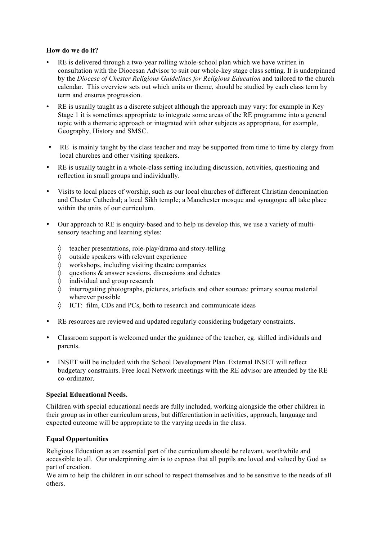#### **How do we do it?**

- RE is delivered through a two-year rolling whole-school plan which we have written in consultation with the Diocesan Advisor to suit our whole-key stage class setting. It is underpinned by the *Diocese of Chester Religious Guidelines for Religious Education* and tailored to the church calendar. This overview sets out which units or theme, should be studied by each class term by term and ensures progression.
- RE is usually taught as a discrete subject although the approach may vary: for example in Key Stage 1 it is sometimes appropriate to integrate some areas of the RE programme into a general topic with a thematic approach or integrated with other subjects as appropriate, for example, Geography, History and SMSC.
- RE is mainly taught by the class teacher and may be supported from time to time by clergy from local churches and other visiting speakers.
- RE is usually taught in a whole-class setting including discussion, activities, questioning and reflection in small groups and individually.
- Visits to local places of worship, such as our local churches of different Christian denomination and Chester Cathedral; a local Sikh temple; a Manchester mosque and synagogue all take place within the units of our curriculum.
- Our approach to RE is enquiry-based and to help us develop this, we use a variety of multisensory teaching and learning styles:
	- $\Diamond$  teacher presentations, role-play/drama and story-telling  $\Diamond$  outside speakers with relevant experience
	- outside speakers with relevant experience
	- $\Diamond$  workshops, including visiting theatre companies  $\Diamond$  questions & answer sessions, discussions and deb
	- $\Diamond$  questions & answer sessions, discussions and debates individual and group research
	- individual and group research
	- ◊ interrogating photographs, pictures, artefacts and other sources: primary source material wherever possible
	- ◊ ICT: film, CDs and PCs, both to research and communicate ideas
- RE resources are reviewed and updated regularly considering budgetary constraints.
- Classroom support is welcomed under the guidance of the teacher, eg. skilled individuals and parents.
- INSET will be included with the School Development Plan. External INSET will reflect budgetary constraints. Free local Network meetings with the RE advisor are attended by the RE co-ordinator.

#### **Special Educational Needs.**

Children with special educational needs are fully included, working alongside the other children in their group as in other curriculum areas, but differentiation in activities, approach, language and expected outcome will be appropriate to the varying needs in the class.

#### **Equal Opportunities**

Religious Education as an essential part of the curriculum should be relevant, worthwhile and accessible to all. Our underpinning aim is to express that all pupils are loved and valued by God as part of creation.

We aim to help the children in our school to respect themselves and to be sensitive to the needs of all others.